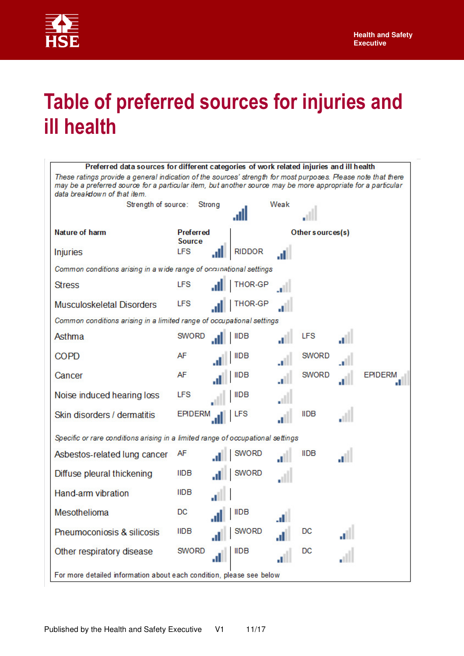

## **Table of preferred sources for injuries and ill health**

| Preferred data sources for different categories of work related injuries and ill health                                                                                                                                                                       |                            |        |                  |      |                  |                |
|---------------------------------------------------------------------------------------------------------------------------------------------------------------------------------------------------------------------------------------------------------------|----------------------------|--------|------------------|------|------------------|----------------|
| These ratings provide a general indication of the sources' strength for most purposes. Please note that there<br>may be a preferred source for a particular item, but another source may be more appropriate for a particular<br>data breakdown of that item. |                            |        |                  |      |                  |                |
| Strength of source:                                                                                                                                                                                                                                           |                            | Strong |                  | Weak |                  |                |
|                                                                                                                                                                                                                                                               |                            |        |                  |      |                  |                |
| Nature of harm                                                                                                                                                                                                                                                | Preferred<br><b>Source</b> |        |                  |      | Other sources(s) |                |
| <b>Injuries</b>                                                                                                                                                                                                                                               | <b>LFS</b>                 |        | <b>RIDDOR</b>    |      |                  |                |
| Common conditions arising in a wide range of occupational settings                                                                                                                                                                                            |                            |        |                  |      |                  |                |
| <b>Stress</b>                                                                                                                                                                                                                                                 | <b>LFS</b>                 |        | THOR-GP          |      |                  |                |
| <b>Musculoskeletal Disorders</b>                                                                                                                                                                                                                              | <b>LFS</b>                 |        | <b>THOR-GP</b>   |      |                  |                |
| Common conditions arising in a limited range of occupational settings                                                                                                                                                                                         |                            |        |                  |      |                  |                |
| Asthma                                                                                                                                                                                                                                                        | <b>SWORD</b>               |        | <b>IIDB</b>      |      | <b>LFS</b>       |                |
| <b>COPD</b>                                                                                                                                                                                                                                                   | AF                         |        | <b>IIDB</b>      |      | <b>SWORD</b>     |                |
| Cancer                                                                                                                                                                                                                                                        | AF                         |        | <b>IIDB</b>      |      | <b>SWORD</b>     | <b>EPIDERM</b> |
| Noise induced hearing loss                                                                                                                                                                                                                                    | <b>LFS</b>                 |        | <b>IIDB</b>      |      |                  |                |
| Skin disorders / dermatitis                                                                                                                                                                                                                                   | <b>EPIDERM</b>             |        |                  |      | <b>IIDB</b>      |                |
| Specific or rare conditions arising in a limited range of occupational settings                                                                                                                                                                               |                            |        |                  |      |                  |                |
| Asbestos-related lung cancer                                                                                                                                                                                                                                  | AF                         |        | <b>SWORD</b>     |      | <b>IIDB</b>      |                |
| Diffuse pleural thickening                                                                                                                                                                                                                                    | <b>IIDB</b>                |        | SWORD            |      |                  |                |
| Hand-arm vibration                                                                                                                                                                                                                                            | <b>IIDB</b>                |        |                  |      |                  |                |
| Mesothelioma                                                                                                                                                                                                                                                  | DC                         |        | $\parallel$ IIDB | .d.  |                  |                |
| Pneumoconiosis & silicosis                                                                                                                                                                                                                                    | <b>IIDB</b>                |        | SWORD            | JI.  | DC               |                |
| Other respiratory disease                                                                                                                                                                                                                                     | <b>SWORD</b>               | al.    | <b>IIDB</b>      |      | DC               |                |
| For more detailed information about each condition, please see below                                                                                                                                                                                          |                            |        |                  |      |                  |                |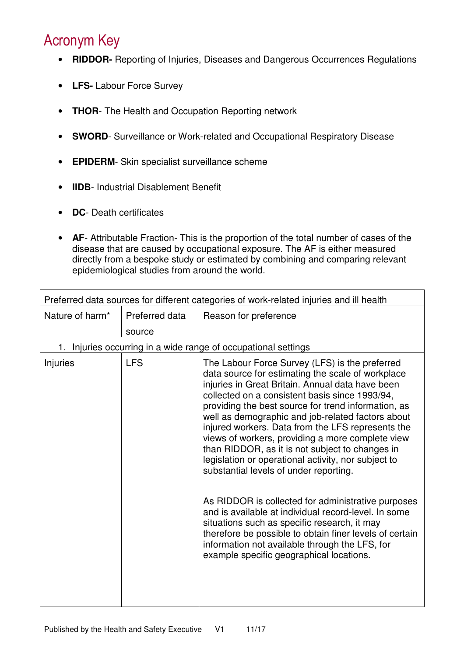## Acronym Key

- **RIDDOR-** Reporting of Injuries, Diseases and Dangerous Occurrences Regulations
- **LFS-** Labour Force Survey
- **THOR** The Health and Occupation Reporting network
- **SWORD** Surveillance or Work-related and Occupational Respiratory Disease
- **EPIDERM** Skin specialist surveillance scheme
- **IIDB** Industrial Disablement Benefit
- **DC** Death certificates
- **AF** Attributable Fraction- This is the proportion of the total number of cases of the disease that are caused by occupational exposure. The AF is either measured directly from a bespoke study or estimated by combining and comparing relevant epidemiological studies from around the world.

|                 |                | Preferred data sources for different categories of work-related injuries and ill health                                                                                                                                                                                                                                                                                                                                                                                                                                                                                                                                                                                                                                                                                                                                                                                                                   |
|-----------------|----------------|-----------------------------------------------------------------------------------------------------------------------------------------------------------------------------------------------------------------------------------------------------------------------------------------------------------------------------------------------------------------------------------------------------------------------------------------------------------------------------------------------------------------------------------------------------------------------------------------------------------------------------------------------------------------------------------------------------------------------------------------------------------------------------------------------------------------------------------------------------------------------------------------------------------|
| Nature of harm* | Preferred data | Reason for preference                                                                                                                                                                                                                                                                                                                                                                                                                                                                                                                                                                                                                                                                                                                                                                                                                                                                                     |
|                 | source         |                                                                                                                                                                                                                                                                                                                                                                                                                                                                                                                                                                                                                                                                                                                                                                                                                                                                                                           |
|                 |                | 1. Injuries occurring in a wide range of occupational settings                                                                                                                                                                                                                                                                                                                                                                                                                                                                                                                                                                                                                                                                                                                                                                                                                                            |
| Injuries        | <b>LFS</b>     | The Labour Force Survey (LFS) is the preferred<br>data source for estimating the scale of workplace<br>injuries in Great Britain. Annual data have been<br>collected on a consistent basis since 1993/94,<br>providing the best source for trend information, as<br>well as demographic and job-related factors about<br>injured workers. Data from the LFS represents the<br>views of workers, providing a more complete view<br>than RIDDOR, as it is not subject to changes in<br>legislation or operational activity, nor subject to<br>substantial levels of under reporting.<br>As RIDDOR is collected for administrative purposes<br>and is available at individual record-level. In some<br>situations such as specific research, it may<br>therefore be possible to obtain finer levels of certain<br>information not available through the LFS, for<br>example specific geographical locations. |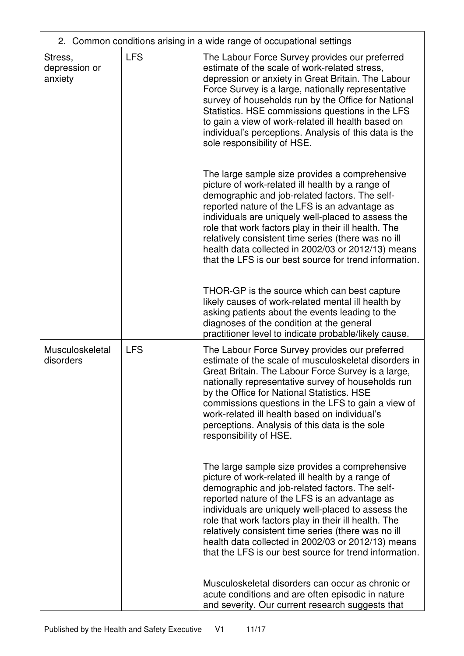|                                     |            | 2. Common conditions arising in a wide range of occupational settings                                                                                                                                                                                                                                                                                                                                                                                                                                                                                                                                                                                                                                                                                                                                                                                                                                                                                               |
|-------------------------------------|------------|---------------------------------------------------------------------------------------------------------------------------------------------------------------------------------------------------------------------------------------------------------------------------------------------------------------------------------------------------------------------------------------------------------------------------------------------------------------------------------------------------------------------------------------------------------------------------------------------------------------------------------------------------------------------------------------------------------------------------------------------------------------------------------------------------------------------------------------------------------------------------------------------------------------------------------------------------------------------|
| Stress,<br>depression or<br>anxiety | <b>LFS</b> | The Labour Force Survey provides our preferred<br>estimate of the scale of work-related stress,<br>depression or anxiety in Great Britain. The Labour<br>Force Survey is a large, nationally representative<br>survey of households run by the Office for National<br>Statistics. HSE commissions questions in the LFS<br>to gain a view of work-related ill health based on<br>individual's perceptions. Analysis of this data is the<br>sole responsibility of HSE.<br>The large sample size provides a comprehensive<br>picture of work-related ill health by a range of<br>demographic and job-related factors. The self-<br>reported nature of the LFS is an advantage as<br>individuals are uniquely well-placed to assess the<br>role that work factors play in their ill health. The<br>relatively consistent time series (there was no ill<br>health data collected in 2002/03 or 2012/13) means<br>that the LFS is our best source for trend information. |
|                                     |            | THOR-GP is the source which can best capture<br>likely causes of work-related mental ill health by<br>asking patients about the events leading to the<br>diagnoses of the condition at the general<br>practitioner level to indicate probable/likely cause.                                                                                                                                                                                                                                                                                                                                                                                                                                                                                                                                                                                                                                                                                                         |
| Musculoskeletal<br>disorders        | <b>LFS</b> | The Labour Force Survey provides our preferred<br>estimate of the scale of musculoskeletal disorders in<br>Great Britain. The Labour Force Survey is a large,<br>nationally representative survey of households run<br>by the Office for National Statistics. HSE<br>commissions questions in the LFS to gain a view of<br>work-related ill health based on individual's<br>perceptions. Analysis of this data is the sole<br>responsibility of HSE.                                                                                                                                                                                                                                                                                                                                                                                                                                                                                                                |
|                                     |            | The large sample size provides a comprehensive<br>picture of work-related ill health by a range of<br>demographic and job-related factors. The self-<br>reported nature of the LFS is an advantage as<br>individuals are uniquely well-placed to assess the<br>role that work factors play in their ill health. The<br>relatively consistent time series (there was no ill<br>health data collected in 2002/03 or 2012/13) means<br>that the LFS is our best source for trend information.                                                                                                                                                                                                                                                                                                                                                                                                                                                                          |
|                                     |            | Musculoskeletal disorders can occur as chronic or<br>acute conditions and are often episodic in nature<br>and severity. Our current research suggests that                                                                                                                                                                                                                                                                                                                                                                                                                                                                                                                                                                                                                                                                                                                                                                                                          |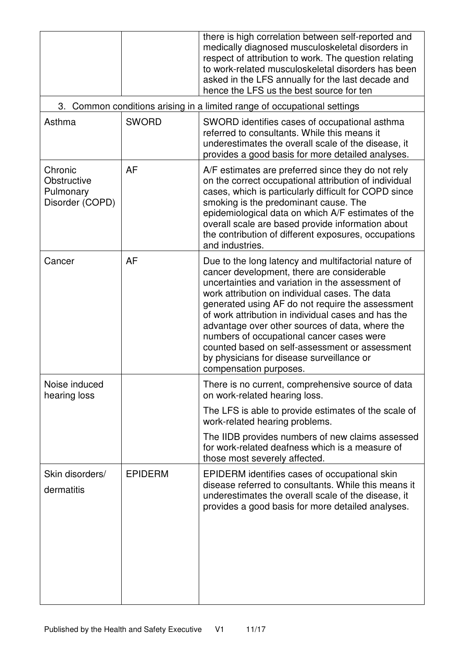|                                                                          |                | there is high correlation between self-reported and<br>medically diagnosed musculoskeletal disorders in<br>respect of attribution to work. The question relating<br>to work-related musculoskeletal disorders has been<br>asked in the LFS annually for the last decade and<br>hence the LFS us the best source for ten                                                                                                                                                                                                                      |  |
|--------------------------------------------------------------------------|----------------|----------------------------------------------------------------------------------------------------------------------------------------------------------------------------------------------------------------------------------------------------------------------------------------------------------------------------------------------------------------------------------------------------------------------------------------------------------------------------------------------------------------------------------------------|--|
| 3. Common conditions arising in a limited range of occupational settings |                |                                                                                                                                                                                                                                                                                                                                                                                                                                                                                                                                              |  |
| Asthma                                                                   | <b>SWORD</b>   | SWORD identifies cases of occupational asthma<br>referred to consultants. While this means it<br>underestimates the overall scale of the disease, it<br>provides a good basis for more detailed analyses.                                                                                                                                                                                                                                                                                                                                    |  |
| Chronic<br>Obstructive<br>Pulmonary<br>Disorder (COPD)                   | <b>AF</b>      | A/F estimates are preferred since they do not rely<br>on the correct occupational attribution of individual<br>cases, which is particularly difficult for COPD since<br>smoking is the predominant cause. The<br>epidemiological data on which A/F estimates of the<br>overall scale are based provide information about<br>the contribution of different exposures, occupations<br>and industries.                                                                                                                                          |  |
| Cancer                                                                   | AF             | Due to the long latency and multifactorial nature of<br>cancer development, there are considerable<br>uncertainties and variation in the assessment of<br>work attribution on individual cases. The data<br>generated using AF do not require the assessment<br>of work attribution in individual cases and has the<br>advantage over other sources of data, where the<br>numbers of occupational cancer cases were<br>counted based on self-assessment or assessment<br>by physicians for disease surveillance or<br>compensation purposes. |  |
| Noise induced<br>hearing loss                                            |                | There is no current, comprehensive source of data<br>on work-related hearing loss.<br>The LFS is able to provide estimates of the scale of                                                                                                                                                                                                                                                                                                                                                                                                   |  |
|                                                                          |                | work-related hearing problems.                                                                                                                                                                                                                                                                                                                                                                                                                                                                                                               |  |
|                                                                          |                | The IIDB provides numbers of new claims assessed<br>for work-related deafness which is a measure of<br>those most severely affected.                                                                                                                                                                                                                                                                                                                                                                                                         |  |
| Skin disorders/<br>dermatitis                                            | <b>EPIDERM</b> | EPIDERM identifies cases of occupational skin<br>disease referred to consultants. While this means it<br>underestimates the overall scale of the disease, it<br>provides a good basis for more detailed analyses.                                                                                                                                                                                                                                                                                                                            |  |